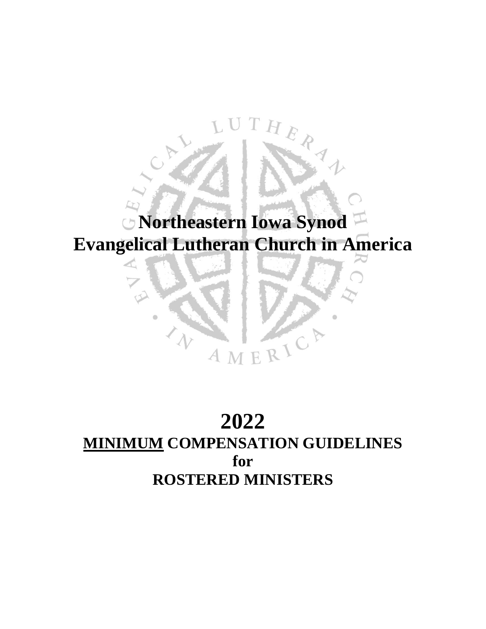# **Northeastern Iowa Synod Evangelical Lutheran Church in America**

THER 1

# **2022 MINIMUM COMPENSATION GUIDELINES for ROSTERED MINISTERS**

AMERIC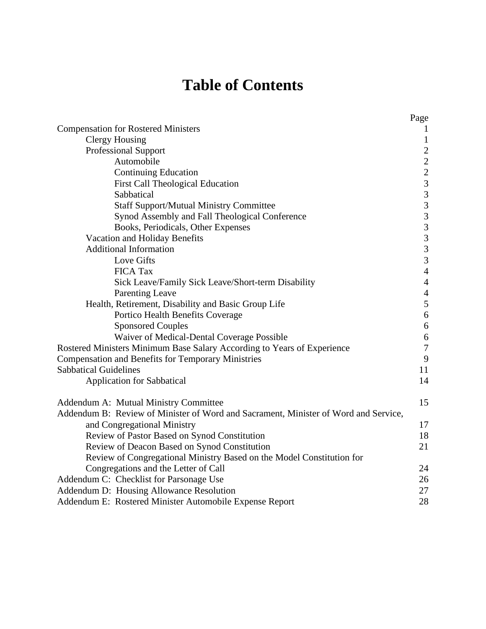# **Table of Contents**

|                                                                                     | Page                  |
|-------------------------------------------------------------------------------------|-----------------------|
| <b>Compensation for Rostered Ministers</b>                                          |                       |
| <b>Clergy Housing</b>                                                               | $\mathbf{1}$          |
| <b>Professional Support</b>                                                         |                       |
| Automobile                                                                          |                       |
| <b>Continuing Education</b>                                                         |                       |
| <b>First Call Theological Education</b>                                             |                       |
| Sabbatical                                                                          | $2223$<br>$33$<br>$3$ |
| <b>Staff Support/Mutual Ministry Committee</b>                                      |                       |
| Synod Assembly and Fall Theological Conference                                      | $\overline{3}$        |
| Books, Periodicals, Other Expenses                                                  | $\mathfrak{Z}$        |
| Vacation and Holiday Benefits                                                       | $\mathfrak{Z}$        |
| <b>Additional Information</b>                                                       | $\overline{3}$        |
| Love Gifts                                                                          | $\overline{3}$        |
| <b>FICA Tax</b>                                                                     | $\overline{4}$        |
| Sick Leave/Family Sick Leave/Short-term Disability                                  | $\overline{4}$        |
| <b>Parenting Leave</b>                                                              | $\overline{4}$        |
| Health, Retirement, Disability and Basic Group Life                                 | 5                     |
| Portico Health Benefits Coverage                                                    | $\sqrt{6}$            |
| <b>Sponsored Couples</b>                                                            | $\sqrt{6}$            |
| Waiver of Medical-Dental Coverage Possible                                          | $\sqrt{6}$            |
| Rostered Ministers Minimum Base Salary According to Years of Experience             | $\tau$                |
| Compensation and Benefits for Temporary Ministries                                  | $\overline{9}$        |
| <b>Sabbatical Guidelines</b>                                                        | 11                    |
| <b>Application for Sabbatical</b>                                                   | 14                    |
| <b>Addendum A: Mutual Ministry Committee</b>                                        | 15                    |
| Addendum B: Review of Minister of Word and Sacrament, Minister of Word and Service, |                       |
| and Congregational Ministry                                                         | 17                    |
| Review of Pastor Based on Synod Constitution                                        | 18                    |
| Review of Deacon Based on Synod Constitution                                        | 21                    |
| Review of Congregational Ministry Based on the Model Constitution for               |                       |
| Congregations and the Letter of Call                                                | 24                    |
| Addendum C: Checklist for Parsonage Use                                             | 26                    |
| Addendum D: Housing Allowance Resolution                                            | 27                    |
| Addendum E: Rostered Minister Automobile Expense Report                             | 28                    |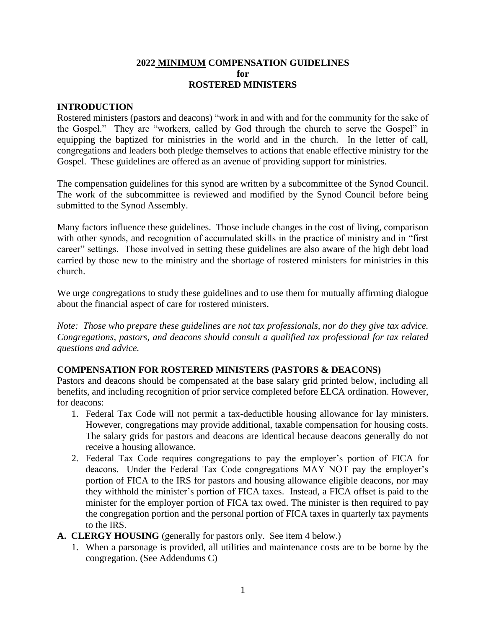#### **2022 MINIMUM COMPENSATION GUIDELINES for ROSTERED MINISTERS**

### **INTRODUCTION**

Rostered ministers (pastors and deacons) "work in and with and for the community for the sake of the Gospel." They are "workers, called by God through the church to serve the Gospel" in equipping the baptized for ministries in the world and in the church. In the letter of call, congregations and leaders both pledge themselves to actions that enable effective ministry for the Gospel. These guidelines are offered as an avenue of providing support for ministries.

The compensation guidelines for this synod are written by a subcommittee of the Synod Council. The work of the subcommittee is reviewed and modified by the Synod Council before being submitted to the Synod Assembly.

Many factors influence these guidelines. Those include changes in the cost of living, comparison with other synods, and recognition of accumulated skills in the practice of ministry and in "first" career" settings. Those involved in setting these guidelines are also aware of the high debt load carried by those new to the ministry and the shortage of rostered ministers for ministries in this church.

We urge congregations to study these guidelines and to use them for mutually affirming dialogue about the financial aspect of care for rostered ministers.

*Note: Those who prepare these guidelines are not tax professionals, nor do they give tax advice. Congregations, pastors, and deacons should consult a qualified tax professional for tax related questions and advice.*

## **COMPENSATION FOR ROSTERED MINISTERS (PASTORS & DEACONS)**

Pastors and deacons should be compensated at the base salary grid printed below, including all benefits, and including recognition of prior service completed before ELCA ordination. However, for deacons:

- 1. Federal Tax Code will not permit a tax-deductible housing allowance for lay ministers. However, congregations may provide additional, taxable compensation for housing costs. The salary grids for pastors and deacons are identical because deacons generally do not receive a housing allowance.
- 2. Federal Tax Code requires congregations to pay the employer's portion of FICA for deacons. Under the Federal Tax Code congregations MAY NOT pay the employer's portion of FICA to the IRS for pastors and housing allowance eligible deacons, nor may they withhold the minister's portion of FICA taxes. Instead, a FICA offset is paid to the minister for the employer portion of FICA tax owed. The minister is then required to pay the congregation portion and the personal portion of FICA taxes in quarterly tax payments to the IRS.
- **A. CLERGY HOUSING** (generally for pastors only. See item 4 below.)
	- 1. When a parsonage is provided, all utilities and maintenance costs are to be borne by the congregation. (See Addendums C)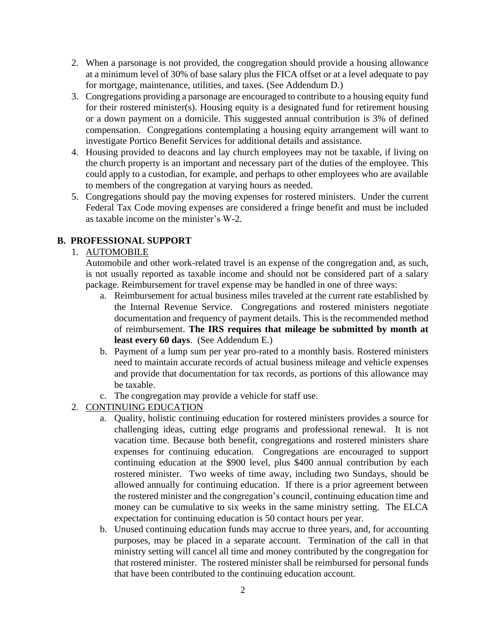- 2. When a parsonage is not provided, the congregation should provide a housing allowance at a minimum level of 30% of base salary plus the FICA offset or at a level adequate to pay for mortgage, maintenance, utilities, and taxes. (See Addendum D.)
- 3. Congregations providing a parsonage are encouraged to contribute to a housing equity fund for their rostered minister(s). Housing equity is a designated fund for retirement housing or a down payment on a domicile. This suggested annual contribution is 3% of defined compensation. Congregations contemplating a housing equity arrangement will want to investigate Portico Benefit Services for additional details and assistance.
- 4. Housing provided to deacons and lay church employees may not be taxable, if living on the church property is an important and necessary part of the duties of the employee. This could apply to a custodian, for example, and perhaps to other employees who are available to members of the congregation at varying hours as needed.
- 5. Congregations should pay the moving expenses for rostered ministers. Under the current Federal Tax Code moving expenses are considered a fringe benefit and must be included as taxable income on the minister's W-2.

# **B. PROFESSIONAL SUPPORT**

## 1. AUTOMOBILE

Automobile and other work-related travel is an expense of the congregation and, as such, is not usually reported as taxable income and should not be considered part of a salary package. Reimbursement for travel expense may be handled in one of three ways:

- a. Reimbursement for actual business miles traveled at the current rate established by the Internal Revenue Service. Congregations and rostered ministers negotiate documentation and frequency of payment details. This is the recommended method of reimbursement. **The IRS requires that mileage be submitted by month at least every 60 days**. (See Addendum E.)
- b. Payment of a lump sum per year pro-rated to a monthly basis. Rostered ministers need to maintain accurate records of actual business mileage and vehicle expenses and provide that documentation for tax records, as portions of this allowance may be taxable.
- c. The congregation may provide a vehicle for staff use.
- 2. CONTINUING EDUCATION
	- a. Quality, holistic continuing education for rostered ministers provides a source for challenging ideas, cutting edge programs and professional renewal. It is not vacation time. Because both benefit, congregations and rostered ministers share expenses for continuing education. Congregations are encouraged to support continuing education at the \$900 level, plus \$400 annual contribution by each rostered minister. Two weeks of time away, including two Sundays, should be allowed annually for continuing education. If there is a prior agreement between the rostered minister and the congregation's council, continuing education time and money can be cumulative to six weeks in the same ministry setting. The ELCA expectation for continuing education is 50 contact hours per year.
	- b. Unused continuing education funds may accrue to three years, and, for accounting purposes, may be placed in a separate account. Termination of the call in that ministry setting will cancel all time and money contributed by the congregation for that rostered minister. The rostered minister shall be reimbursed for personal funds that have been contributed to the continuing education account.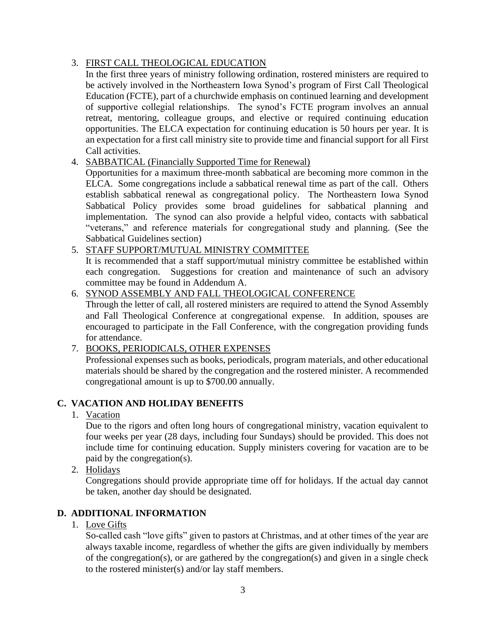## 3. FIRST CALL THEOLOGICAL EDUCATION

In the first three years of ministry following ordination, rostered ministers are required to be actively involved in the Northeastern Iowa Synod's program of First Call Theological Education (FCTE), part of a churchwide emphasis on continued learning and development of supportive collegial relationships. The synod's FCTE program involves an annual retreat, mentoring, colleague groups, and elective or required continuing education opportunities. The ELCA expectation for continuing education is 50 hours per year. It is an expectation for a first call ministry site to provide time and financial support for all First Call activities.

## 4. SABBATICAL (Financially Supported Time for Renewal)

Opportunities for a maximum three-month sabbatical are becoming more common in the ELCA. Some congregations include a sabbatical renewal time as part of the call. Others establish sabbatical renewal as congregational policy. The Northeastern Iowa Synod Sabbatical Policy provides some broad guidelines for sabbatical planning and implementation. The synod can also provide a helpful video, contacts with sabbatical "veterans," and reference materials for congregational study and planning. (See the Sabbatical Guidelines section)

## 5. STAFF SUPPORT/MUTUAL MINISTRY COMMITTEE

It is recommended that a staff support/mutual ministry committee be established within each congregation. Suggestions for creation and maintenance of such an advisory committee may be found in Addendum A.

## 6. SYNOD ASSEMBLY AND FALL THEOLOGICAL CONFERENCE

Through the letter of call, all rostered ministers are required to attend the Synod Assembly and Fall Theological Conference at congregational expense. In addition, spouses are encouraged to participate in the Fall Conference, with the congregation providing funds for attendance.

## 7. BOOKS, PERIODICALS, OTHER EXPENSES

Professional expenses such as books, periodicals, program materials, and other educational materials should be shared by the congregation and the rostered minister. A recommended congregational amount is up to \$700.00 annually.

# **C. VACATION AND HOLIDAY BENEFITS**

1. Vacation

Due to the rigors and often long hours of congregational ministry, vacation equivalent to four weeks per year (28 days, including four Sundays) should be provided. This does not include time for continuing education. Supply ministers covering for vacation are to be paid by the congregation(s).

2. Holidays

Congregations should provide appropriate time off for holidays. If the actual day cannot be taken, another day should be designated.

# **D. ADDITIONAL INFORMATION**

## 1. Love Gifts

So-called cash "love gifts" given to pastors at Christmas, and at other times of the year are always taxable income, regardless of whether the gifts are given individually by members of the congregation(s), or are gathered by the congregation(s) and given in a single check to the rostered minister(s) and/or lay staff members.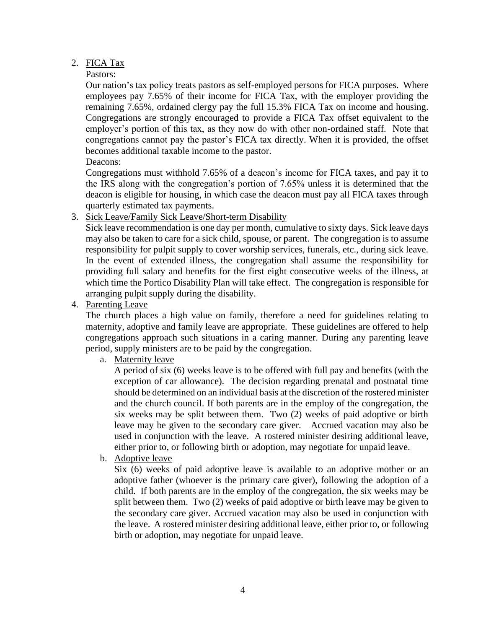## 2. FICA Tax

#### Pastors:

Our nation's tax policy treats pastors as self-employed persons for FICA purposes. Where employees pay 7.65% of their income for FICA Tax, with the employer providing the remaining 7.65%, ordained clergy pay the full 15.3% FICA Tax on income and housing. Congregations are strongly encouraged to provide a FICA Tax offset equivalent to the employer's portion of this tax, as they now do with other non-ordained staff. Note that congregations cannot pay the pastor's FICA tax directly. When it is provided, the offset becomes additional taxable income to the pastor.

Deacons:

Congregations must withhold 7.65% of a deacon's income for FICA taxes, and pay it to the IRS along with the congregation's portion of 7.65% unless it is determined that the deacon is eligible for housing, in which case the deacon must pay all FICA taxes through quarterly estimated tax payments.

## 3. Sick Leave/Family Sick Leave/Short-term Disability

Sick leave recommendation is one day per month, cumulative to sixty days. Sick leave days may also be taken to care for a sick child, spouse, or parent. The congregation is to assume responsibility for pulpit supply to cover worship services, funerals, etc., during sick leave. In the event of extended illness, the congregation shall assume the responsibility for providing full salary and benefits for the first eight consecutive weeks of the illness, at which time the Portico Disability Plan will take effect. The congregation is responsible for arranging pulpit supply during the disability.

4. Parenting Leave

The church places a high value on family, therefore a need for guidelines relating to maternity, adoptive and family leave are appropriate. These guidelines are offered to help congregations approach such situations in a caring manner. During any parenting leave period, supply ministers are to be paid by the congregation.

a. Maternity leave

A period of six (6) weeks leave is to be offered with full pay and benefits (with the exception of car allowance). The decision regarding prenatal and postnatal time should be determined on an individual basis at the discretion of the rostered minister and the church council. If both parents are in the employ of the congregation, the six weeks may be split between them. Two (2) weeks of paid adoptive or birth leave may be given to the secondary care giver. Accrued vacation may also be used in conjunction with the leave. A rostered minister desiring additional leave, either prior to, or following birth or adoption, may negotiate for unpaid leave.

b. Adoptive leave

Six (6) weeks of paid adoptive leave is available to an adoptive mother or an adoptive father (whoever is the primary care giver), following the adoption of a child. If both parents are in the employ of the congregation, the six weeks may be split between them. Two (2) weeks of paid adoptive or birth leave may be given to the secondary care giver. Accrued vacation may also be used in conjunction with the leave. A rostered minister desiring additional leave, either prior to, or following birth or adoption, may negotiate for unpaid leave.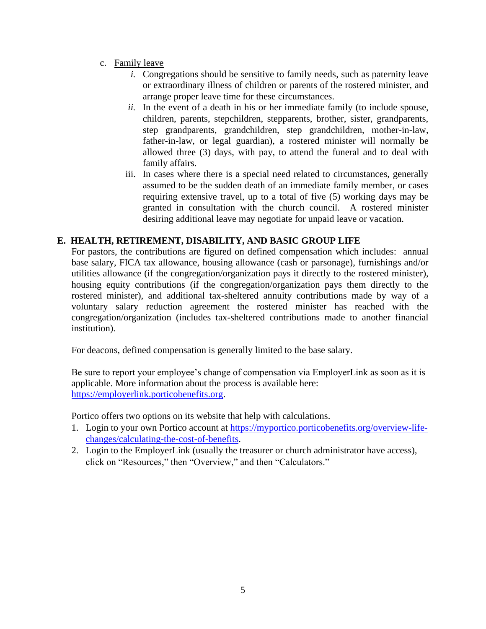- c. Family leave
	- *i.* Congregations should be sensitive to family needs, such as paternity leave or extraordinary illness of children or parents of the rostered minister, and arrange proper leave time for these circumstances.
	- *ii.* In the event of a death in his or her immediate family (to include spouse, children, parents, stepchildren, stepparents, brother, sister, grandparents, step grandparents, grandchildren, step grandchildren, mother-in-law, father-in-law, or legal guardian), a rostered minister will normally be allowed three (3) days, with pay, to attend the funeral and to deal with family affairs.
	- iii. In cases where there is a special need related to circumstances, generally assumed to be the sudden death of an immediate family member, or cases requiring extensive travel, up to a total of five (5) working days may be granted in consultation with the church council. A rostered minister desiring additional leave may negotiate for unpaid leave or vacation.

# **E. HEALTH, RETIREMENT, DISABILITY, AND BASIC GROUP LIFE**

For pastors, the contributions are figured on defined compensation which includes: annual base salary, FICA tax allowance, housing allowance (cash or parsonage), furnishings and/or utilities allowance (if the congregation/organization pays it directly to the rostered minister), housing equity contributions (if the congregation/organization pays them directly to the rostered minister), and additional tax-sheltered annuity contributions made by way of a voluntary salary reduction agreement the rostered minister has reached with the congregation/organization (includes tax-sheltered contributions made to another financial institution).

For deacons, defined compensation is generally limited to the base salary.

Be sure to report your employee's change of compensation via EmployerLink as soon as it is applicable. More information about the process is available here: [https://employerlink.porticobenefits.org.](https://employerlink.porticobenefits.org/)

Portico offers two options on its website that help with calculations.

- 1. Login to your own Portico account at [https://myportico.porticobenefits.org/overview-life](https://myportico.porticobenefits.org/overview-life-changes/calculating-the-cost-of-benefits)[changes/calculating-the-cost-of-benefits.](https://myportico.porticobenefits.org/overview-life-changes/calculating-the-cost-of-benefits)
- 2. Login to the EmployerLink (usually the treasurer or church administrator have access), click on "Resources," then "Overview," and then "Calculators."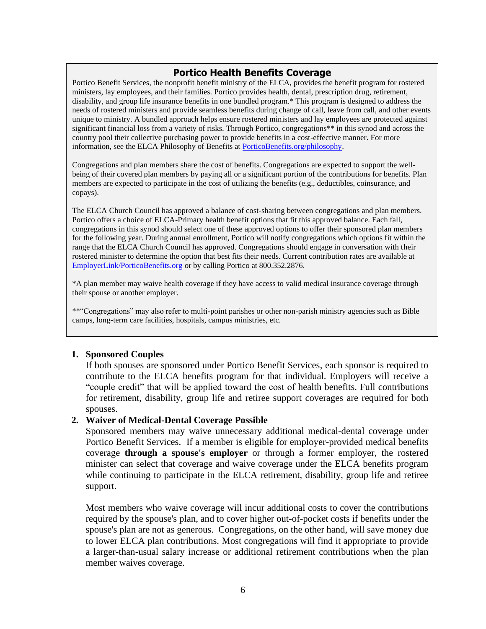## **Portico Health Benefits Coverage**

Portico Benefit Services, the nonprofit benefit ministry of the ELCA, provides the benefit program for rostered ministers, lay employees, and their families. Portico provides health, dental, prescription drug, retirement, disability, and group life insurance benefits in one bundled program.\* This program is designed to address the needs of rostered ministers and provide seamless benefits during change of call, leave from call, and other events unique to ministry. A bundled approach helps ensure rostered ministers and lay employees are protected against significant financial loss from a variety of risks. Through Portico, congregations\*\* in this synod and across the country pool their collective purchasing power to provide benefits in a cost-effective manner. For more information, see the ELCA Philosophy of Benefits at [PorticoBenefits.org/philosophy.](https://porticobenefits.org/philosophy)

Congregations and plan members share the cost of benefits. Congregations are expected to support the wellbeing of their covered plan members by paying all or a significant portion of the contributions for benefits. Plan members are expected to participate in the cost of utilizing the benefits (e.g., deductibles, coinsurance, and copays).

The ELCA Church Council has approved a balance of cost-sharing between congregations and plan members. Portico offers a choice of ELCA-Primary health benefit options that fit this approved balance. Each fall, congregations in this synod should select one of these approved options to offer their sponsored plan members for the following year. During annual enrollment, Portico will notify congregations which options fit within the range that the ELCA Church Council has approved. Congregations should engage in conversation with their rostered minister to determine the option that best fits their needs. Current contribution rates are available at [EmployerLink/PorticoBenefits.org](https://employerlink.porticobenefits.org/) or by calling Portico at 800.352.2876.

\*A plan member may waive health coverage if they have access to valid medical insurance coverage through their spouse or another employer.

\*\*"Congregations" may also refer to multi-point parishes or other non-parish ministry agencies such as Bible camps, long-term care facilities, hospitals, campus ministries, etc.

#### **1. Sponsored Couples**

If both spouses are sponsored under Portico Benefit Services, each sponsor is required to contribute to the ELCA benefits program for that individual. Employers will receive a "couple credit" that will be applied toward the cost of health benefits. Full contributions for retirement, disability, group life and retiree support coverages are required for both spouses.

#### **2. Waiver of Medical-Dental Coverage Possible**

Sponsored members may waive unnecessary additional medical-dental coverage under Portico Benefit Services. If a member is eligible for employer-provided medical benefits coverage **through a spouse's employer** or through a former employer, the rostered minister can select that coverage and waive coverage under the ELCA benefits program while continuing to participate in the ELCA retirement, disability, group life and retiree support.

Most members who waive coverage will incur additional costs to cover the contributions required by the spouse's plan, and to cover higher out-of-pocket costs if benefits under the spouse's plan are not as generous. Congregations, on the other hand, will save money due to lower ELCA plan contributions. Most congregations will find it appropriate to provide a larger-than-usual salary increase or additional retirement contributions when the plan member waives coverage.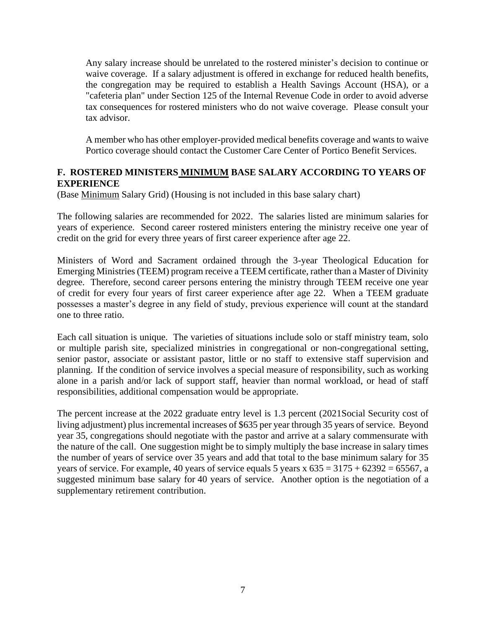Any salary increase should be unrelated to the rostered minister's decision to continue or waive coverage. If a salary adjustment is offered in exchange for reduced health benefits, the congregation may be required to establish a Health Savings Account (HSA), or a "cafeteria plan" under Section 125 of the Internal Revenue Code in order to avoid adverse tax consequences for rostered ministers who do not waive coverage. Please consult your tax advisor.

A member who has other employer-provided medical benefits coverage and wants to waive Portico coverage should contact the Customer Care Center of Portico Benefit Services.

## **F. ROSTERED MINISTERS MINIMUM BASE SALARY ACCORDING TO YEARS OF EXPERIENCE**

(Base Minimum Salary Grid) (Housing is not included in this base salary chart)

The following salaries are recommended for 2022. The salaries listed are minimum salaries for years of experience. Second career rostered ministers entering the ministry receive one year of credit on the grid for every three years of first career experience after age 22.

Ministers of Word and Sacrament ordained through the 3-year Theological Education for Emerging Ministries (TEEM) program receive a TEEM certificate, rather than a Master of Divinity degree. Therefore, second career persons entering the ministry through TEEM receive one year of credit for every four years of first career experience after age 22. When a TEEM graduate possesses a master's degree in any field of study, previous experience will count at the standard one to three ratio.

Each call situation is unique. The varieties of situations include solo or staff ministry team, solo or multiple parish site, specialized ministries in congregational or non-congregational setting, senior pastor, associate or assistant pastor, little or no staff to extensive staff supervision and planning. If the condition of service involves a special measure of responsibility, such as working alone in a parish and/or lack of support staff, heavier than normal workload, or head of staff responsibilities, additional compensation would be appropriate.

The percent increase at the 2022 graduate entry level is 1.3 percent (2021Social Security cost of living adjustment) plus incremental increases of \$635 per year through 35 years of service. Beyond year 35, congregations should negotiate with the pastor and arrive at a salary commensurate with the nature of the call. One suggestion might be to simply multiply the base increase in salary times the number of years of service over 35 years and add that total to the base minimum salary for 35 years of service. For example, 40 years of service equals 5 years x  $635 = 3175 + 62392 = 65567$ , a suggested minimum base salary for 40 years of service. Another option is the negotiation of a supplementary retirement contribution.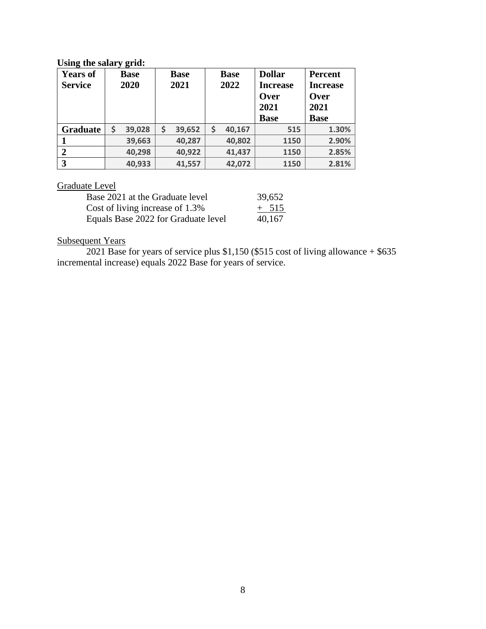## **Using the salary grid:**

| . .<br><b>Years of</b> | ັບ<br><b>Base</b> | <b>Base</b>  | <b>Base</b> | <b>Dollar</b>   | <b>Percent</b>  |
|------------------------|-------------------|--------------|-------------|-----------------|-----------------|
| <b>Service</b>         | 2020              | 2021         | 2022        | <b>Increase</b> | <b>Increase</b> |
|                        |                   |              |             | Over            | <b>Over</b>     |
|                        |                   |              |             | 2021            | 2021            |
|                        |                   |              |             | <b>Base</b>     | <b>Base</b>     |
| <b>Graduate</b>        | \$<br>39,028      | \$<br>39,652 | 40,167      | 515             | 1.30%           |
|                        | 39,663            | 40,287       | 40,802      | 1150            | 2.90%           |
|                        | 40,298            | 40,922       | 41,437      | 1150            | 2.85%           |
| 3                      | 40,933            | 41,557       | 42,072      | 1150            | 2.81%           |

# Graduate Level

| Base 2021 at the Graduate level     | 39,652  |
|-------------------------------------|---------|
| Cost of living increase of 1.3%     | $+ 515$ |
| Equals Base 2022 for Graduate level | 40.167  |

## Subsequent Years

2021 Base for years of service plus \$1,150 (\$515 cost of living allowance + \$635 incremental increase) equals 2022 Base for years of service.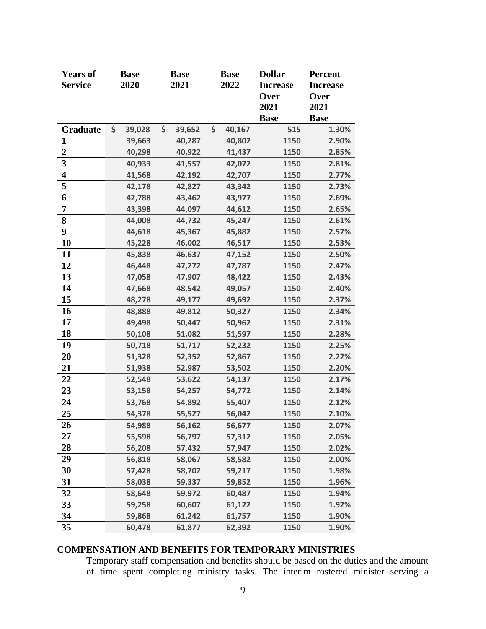| <b>Years of</b>         | <b>Base</b>  | <b>Base</b>  |      | <b>Base</b> | <b>Dollar</b>   | <b>Percent</b>  |
|-------------------------|--------------|--------------|------|-------------|-----------------|-----------------|
| <b>Service</b>          | 2020         | 2021         | 2022 |             | <b>Increase</b> | <b>Increase</b> |
|                         |              |              |      |             | Over            | Over            |
|                         |              |              |      |             | 2021            | 2021            |
|                         |              |              |      |             | <b>Base</b>     | <b>Base</b>     |
| Graduate                | \$<br>39,028 | \$<br>39,652 | \$   | 40,167      | 515             | 1.30%           |
| 1                       | 39,663       | 40,287       |      | 40,802      | 1150            | 2.90%           |
| $\boldsymbol{2}$        | 40,298       | 40,922       |      | 41,437      | 1150            | 2.85%           |
| $\overline{\mathbf{3}}$ | 40,933       | 41,557       |      | 42,072      | 1150            | 2.81%           |
| $\overline{\mathbf{4}}$ | 41,568       | 42,192       |      | 42,707      | 1150            | 2.77%           |
| $\overline{\mathbf{5}}$ | 42,178       | 42,827       |      | 43,342      | 1150            | 2.73%           |
| 6                       | 42,788       | 43,462       |      | 43,977      | 1150            | 2.69%           |
| $\overline{7}$          | 43,398       | 44,097       |      | 44,612      | 1150            | 2.65%           |
| 8                       | 44,008       | 44,732       |      | 45,247      | 1150            | 2.61%           |
| 9                       | 44,618       | 45,367       |      | 45,882      | 1150            | 2.57%           |
| 10                      | 45,228       | 46,002       |      | 46,517      | 1150            | 2.53%           |
| 11                      | 45,838       | 46,637       |      | 47,152      | 1150            | 2.50%           |
| 12                      | 46,448       | 47,272       |      | 47,787      | 1150            | 2.47%           |
| 13                      | 47,058       | 47,907       |      | 48,422      | 1150            | 2.43%           |
| 14                      | 47,668       | 48,542       |      | 49,057      | 1150            | 2.40%           |
| 15                      | 48,278       | 49,177       |      | 49,692      | 1150            | 2.37%           |
| 16                      | 48,888       | 49,812       |      | 50,327      | 1150            | 2.34%           |
| 17                      | 49,498       | 50,447       |      | 50,962      | 1150            | 2.31%           |
| 18                      | 50,108       | 51,082       |      | 51,597      | 1150            | 2.28%           |
| 19                      | 50,718       | 51,717       |      | 52,232      | 1150            | 2.25%           |
| 20                      | 51,328       | 52,352       |      | 52,867      | 1150            | 2.22%           |
| 21                      | 51,938       | 52,987       |      | 53,502      | 1150            | 2.20%           |
| 22                      | 52,548       | 53,622       |      | 54,137      | 1150            | 2.17%           |
| 23                      | 53,158       | 54,257       |      | 54,772      | 1150            | 2.14%           |
| 24                      | 53,768       | 54,892       |      | 55,407      | 1150            | 2.12%           |
| 25                      | 54,378       | 55,527       |      | 56,042      | 1150            | 2.10%           |
| 26                      | 54,988       | 56,162       |      | 56,677      | 1150            | 2.07%           |
| 27                      | 55,598       | 56,797       |      | 57,312      | 1150            | 2.05%           |
| 28                      | 56,208       | 57,432       |      | 57,947      | 1150            | 2.02%           |
| 29                      | 56,818       | 58,067       |      | 58,582      | 1150            | 2.00%           |
| 30                      | 57,428       | 58,702       |      | 59,217      | 1150            | 1.98%           |
| 31                      | 58,038       | 59,337       |      | 59,852      | 1150            | 1.96%           |
| 32                      | 58,648       | 59,972       |      | 60,487      | 1150            | 1.94%           |
| 33                      | 59,258       | 60,607       |      | 61,122      | 1150            | 1.92%           |
| 34                      | 59,868       | 61,242       |      | 61,757      | 1150            | 1.90%           |
| 35                      | 60,478       | 61,877       |      | 62,392      | 1150            | 1.90%           |

# **COMPENSATION AND BENEFITS FOR TEMPORARY MINISTRIES**

Temporary staff compensation and benefits should be based on the duties and the amount of time spent completing ministry tasks. The interim rostered minister serving a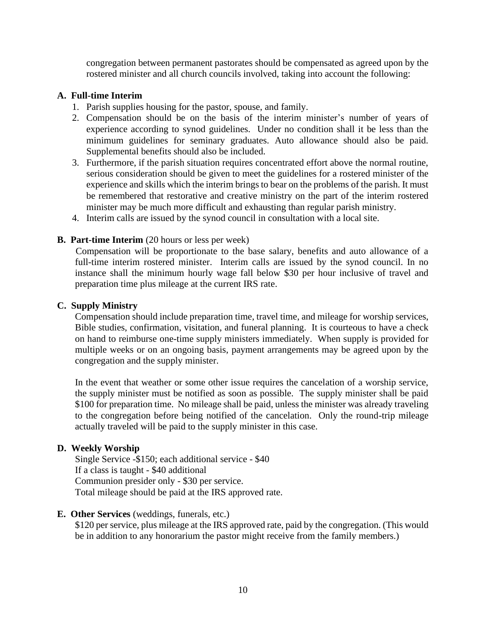congregation between permanent pastorates should be compensated as agreed upon by the rostered minister and all church councils involved, taking into account the following:

#### **A. Full-time Interim**

- 1. Parish supplies housing for the pastor, spouse, and family.
- 2. Compensation should be on the basis of the interim minister's number of years of experience according to synod guidelines. Under no condition shall it be less than the minimum guidelines for seminary graduates. Auto allowance should also be paid. Supplemental benefits should also be included.
- 3. Furthermore, if the parish situation requires concentrated effort above the normal routine, serious consideration should be given to meet the guidelines for a rostered minister of the experience and skills which the interim brings to bear on the problems of the parish. It must be remembered that restorative and creative ministry on the part of the interim rostered minister may be much more difficult and exhausting than regular parish ministry.
- 4. Interim calls are issued by the synod council in consultation with a local site.

## **B. Part-time Interim** (20 hours or less per week)

Compensation will be proportionate to the base salary, benefits and auto allowance of a full-time interim rostered minister. Interim calls are issued by the synod council. In no instance shall the minimum hourly wage fall below \$30 per hour inclusive of travel and preparation time plus mileage at the current IRS rate.

### **C. Supply Ministry**

Compensation should include preparation time, travel time, and mileage for worship services, Bible studies, confirmation, visitation, and funeral planning. It is courteous to have a check on hand to reimburse one-time supply ministers immediately. When supply is provided for multiple weeks or on an ongoing basis, payment arrangements may be agreed upon by the congregation and the supply minister.

In the event that weather or some other issue requires the cancelation of a worship service, the supply minister must be notified as soon as possible. The supply minister shall be paid \$100 for preparation time. No mileage shall be paid, unless the minister was already traveling to the congregation before being notified of the cancelation. Only the round-trip mileage actually traveled will be paid to the supply minister in this case.

#### **D. Weekly Worship**

Single Service -\$150; each additional service - \$40 If a class is taught - \$40 additional Communion presider only - \$30 per service. Total mileage should be paid at the IRS approved rate.

#### **E. Other Services** (weddings, funerals, etc.)

\$120 per service, plus mileage at the IRS approved rate, paid by the congregation. (This would be in addition to any honorarium the pastor might receive from the family members.)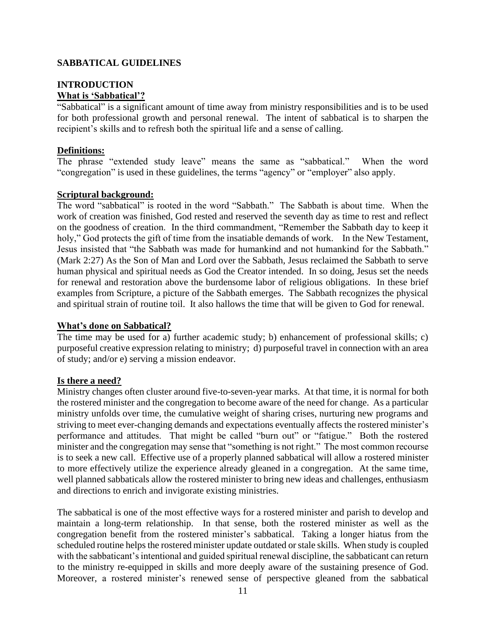### **SABBATICAL GUIDELINES**

## **INTRODUCTION What is 'Sabbatical'?**

"Sabbatical" is a significant amount of time away from ministry responsibilities and is to be used for both professional growth and personal renewal. The intent of sabbatical is to sharpen the recipient's skills and to refresh both the spiritual life and a sense of calling.

### **Definitions:**

The phrase "extended study leave" means the same as "sabbatical." When the word "congregation" is used in these guidelines, the terms "agency" or "employer" also apply.

#### **Scriptural background:**

The word "sabbatical" is rooted in the word "Sabbath." The Sabbath is about time. When the work of creation was finished, God rested and reserved the seventh day as time to rest and reflect on the goodness of creation. In the third commandment, "Remember the Sabbath day to keep it holy," God protects the gift of time from the insatiable demands of work. In the New Testament, Jesus insisted that "the Sabbath was made for humankind and not humankind for the Sabbath." (Mark 2:27) As the Son of Man and Lord over the Sabbath, Jesus reclaimed the Sabbath to serve human physical and spiritual needs as God the Creator intended. In so doing, Jesus set the needs for renewal and restoration above the burdensome labor of religious obligations. In these brief examples from Scripture, a picture of the Sabbath emerges. The Sabbath recognizes the physical and spiritual strain of routine toil. It also hallows the time that will be given to God for renewal.

#### **What's done on Sabbatical?**

The time may be used for a) further academic study; b) enhancement of professional skills; c) purposeful creative expression relating to ministry; d) purposeful travel in connection with an area of study; and/or e) serving a mission endeavor.

#### **Is there a need?**

Ministry changes often cluster around five-to-seven-year marks. At that time, it is normal for both the rostered minister and the congregation to become aware of the need for change. As a particular ministry unfolds over time, the cumulative weight of sharing crises, nurturing new programs and striving to meet ever-changing demands and expectations eventually affects the rostered minister's performance and attitudes. That might be called "burn out" or "fatigue." Both the rostered minister and the congregation may sense that "something is not right." The most common recourse is to seek a new call. Effective use of a properly planned sabbatical will allow a rostered minister to more effectively utilize the experience already gleaned in a congregation. At the same time, well planned sabbaticals allow the rostered minister to bring new ideas and challenges, enthusiasm and directions to enrich and invigorate existing ministries.

The sabbatical is one of the most effective ways for a rostered minister and parish to develop and maintain a long-term relationship. In that sense, both the rostered minister as well as the congregation benefit from the rostered minister's sabbatical. Taking a longer hiatus from the scheduled routine helps the rostered minister update outdated or stale skills. When study is coupled with the sabbaticant's intentional and guided spiritual renewal discipline, the sabbaticant can return to the ministry re-equipped in skills and more deeply aware of the sustaining presence of God. Moreover, a rostered minister's renewed sense of perspective gleaned from the sabbatical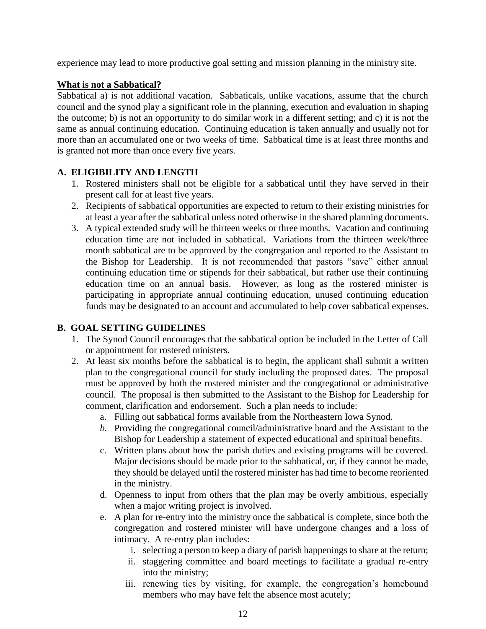experience may lead to more productive goal setting and mission planning in the ministry site.

## **What is not a Sabbatical?**

Sabbatical a) is not additional vacation. Sabbaticals, unlike vacations, assume that the church council and the synod play a significant role in the planning, execution and evaluation in shaping the outcome; b) is not an opportunity to do similar work in a different setting; and c) it is not the same as annual continuing education. Continuing education is taken annually and usually not for more than an accumulated one or two weeks of time. Sabbatical time is at least three months and is granted not more than once every five years.

## **A. ELIGIBILITY AND LENGTH**

- 1. Rostered ministers shall not be eligible for a sabbatical until they have served in their present call for at least five years.
- 2. Recipients of sabbatical opportunities are expected to return to their existing ministries for at least a year after the sabbatical unless noted otherwise in the shared planning documents.
- 3. A typical extended study will be thirteen weeks or three months. Vacation and continuing education time are not included in sabbatical. Variations from the thirteen week/three month sabbatical are to be approved by the congregation and reported to the Assistant to the Bishop for Leadership. It is not recommended that pastors "save" either annual continuing education time or stipends for their sabbatical, but rather use their continuing education time on an annual basis. However, as long as the rostered minister is participating in appropriate annual continuing education, unused continuing education funds may be designated to an account and accumulated to help cover sabbatical expenses.

## **B. GOAL SETTING GUIDELINES**

- 1. The Synod Council encourages that the sabbatical option be included in the Letter of Call or appointment for rostered ministers.
- 2. At least six months before the sabbatical is to begin, the applicant shall submit a written plan to the congregational council for study including the proposed dates. The proposal must be approved by both the rostered minister and the congregational or administrative council. The proposal is then submitted to the Assistant to the Bishop for Leadership for comment, clarification and endorsement. Such a plan needs to include:
	- a. Filling out sabbatical forms available from the Northeastern Iowa Synod.
	- *b.* Providing the congregational council/administrative board and the Assistant to the Bishop for Leadership a statement of expected educational and spiritual benefits.
	- c. Written plans about how the parish duties and existing programs will be covered. Major decisions should be made prior to the sabbatical, or, if they cannot be made, they should be delayed until the rostered minister has had time to become reoriented in the ministry.
	- d. Openness to input from others that the plan may be overly ambitious, especially when a major writing project is involved.
	- e. A plan for re-entry into the ministry once the sabbatical is complete, since both the congregation and rostered minister will have undergone changes and a loss of intimacy. A re-entry plan includes:
		- i. selecting a person to keep a diary of parish happenings to share at the return;
		- ii. staggering committee and board meetings to facilitate a gradual re-entry into the ministry;
		- iii. renewing ties by visiting, for example, the congregation's homebound members who may have felt the absence most acutely;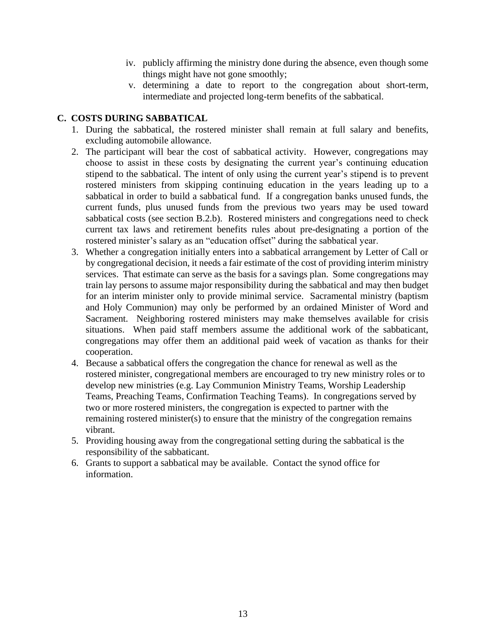- iv. publicly affirming the ministry done during the absence, even though some things might have not gone smoothly;
- v. determining a date to report to the congregation about short-term, intermediate and projected long-term benefits of the sabbatical.

#### **C. COSTS DURING SABBATICAL**

- 1. During the sabbatical, the rostered minister shall remain at full salary and benefits, excluding automobile allowance.
- 2. The participant will bear the cost of sabbatical activity. However, congregations may choose to assist in these costs by designating the current year's continuing education stipend to the sabbatical. The intent of only using the current year's stipend is to prevent rostered ministers from skipping continuing education in the years leading up to a sabbatical in order to build a sabbatical fund. If a congregation banks unused funds, the current funds, plus unused funds from the previous two years may be used toward sabbatical costs (see section B.2.b). Rostered ministers and congregations need to check current tax laws and retirement benefits rules about pre-designating a portion of the rostered minister's salary as an "education offset" during the sabbatical year.
- 3. Whether a congregation initially enters into a sabbatical arrangement by Letter of Call or by congregational decision, it needs a fair estimate of the cost of providing interim ministry services. That estimate can serve as the basis for a savings plan. Some congregations may train lay persons to assume major responsibility during the sabbatical and may then budget for an interim minister only to provide minimal service. Sacramental ministry (baptism and Holy Communion) may only be performed by an ordained Minister of Word and Sacrament. Neighboring rostered ministers may make themselves available for crisis situations. When paid staff members assume the additional work of the sabbaticant, congregations may offer them an additional paid week of vacation as thanks for their cooperation.
- 4. Because a sabbatical offers the congregation the chance for renewal as well as the rostered minister, congregational members are encouraged to try new ministry roles or to develop new ministries (e.g. Lay Communion Ministry Teams, Worship Leadership Teams, Preaching Teams, Confirmation Teaching Teams). In congregations served by two or more rostered ministers, the congregation is expected to partner with the remaining rostered minister(s) to ensure that the ministry of the congregation remains vibrant.
- 5. Providing housing away from the congregational setting during the sabbatical is the responsibility of the sabbaticant.
- 6. Grants to support a sabbatical may be available. Contact the synod office for information.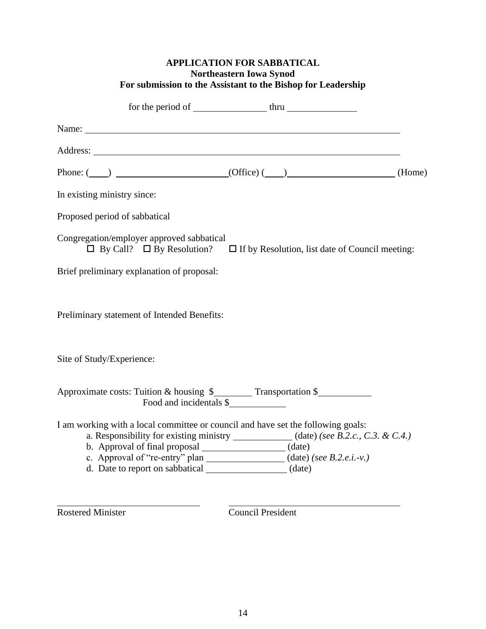|                                                                                                               | <b>APPLICATION FOR SABBATICAL</b><br><b>Northeastern Iowa Synod</b><br>For submission to the Assistant to the Bishop for Leadership |  |
|---------------------------------------------------------------------------------------------------------------|-------------------------------------------------------------------------------------------------------------------------------------|--|
|                                                                                                               | for the period of $\frac{1}{\sqrt{1-\frac{1}{2}}}\arctan \frac{1}{2}$                                                               |  |
|                                                                                                               |                                                                                                                                     |  |
|                                                                                                               |                                                                                                                                     |  |
|                                                                                                               | Phone: $(\_\_\_\)$ (Home)                                                                                                           |  |
| In existing ministry since:                                                                                   |                                                                                                                                     |  |
| Proposed period of sabbatical                                                                                 |                                                                                                                                     |  |
| Congregation/employer approved sabbatical                                                                     | $\Box$ By Call? $\Box$ By Resolution? $\Box$ If by Resolution, list date of Council meeting:                                        |  |
| Brief preliminary explanation of proposal:                                                                    |                                                                                                                                     |  |
| Preliminary statement of Intended Benefits:                                                                   |                                                                                                                                     |  |
| Site of Study/Experience:                                                                                     |                                                                                                                                     |  |
| Approximate costs: Tuition & housing \$___________ Transportation \$______________<br>Food and incidentals \$ |                                                                                                                                     |  |
| I am working with a local committee or council and have set the following goals:                              |                                                                                                                                     |  |
|                                                                                                               | a. Responsibility for existing ministry _____________(date) (see B.2.c., C.3. & C.4.)                                               |  |
| b. Approval of final proposal ______________________(date)                                                    | c. Approval of "re-entry" plan ________________(date) (see B.2.e.i.-v.)                                                             |  |
| d. Date to report on sabbatical ______________________(date)                                                  |                                                                                                                                     |  |
|                                                                                                               |                                                                                                                                     |  |

 $\overline{a}$ 

Rostered Minister **Council President**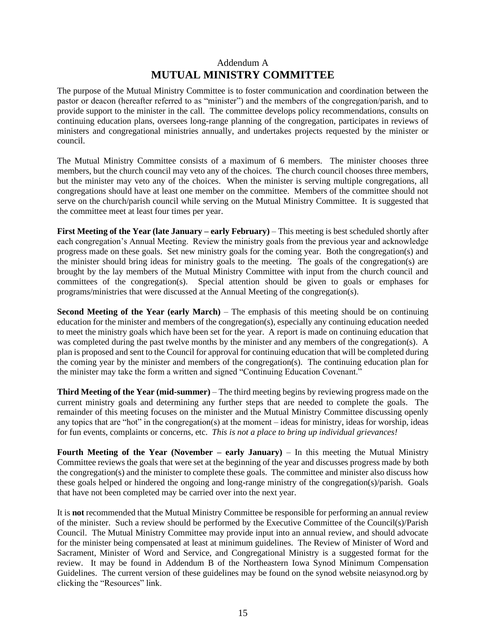## Addendum A **MUTUAL MINISTRY COMMITTEE**

The purpose of the Mutual Ministry Committee is to foster communication and coordination between the pastor or deacon (hereafter referred to as "minister") and the members of the congregation/parish, and to provide support to the minister in the call. The committee develops policy recommendations, consults on continuing education plans, oversees long-range planning of the congregation, participates in reviews of ministers and congregational ministries annually, and undertakes projects requested by the minister or council.

The Mutual Ministry Committee consists of a maximum of 6 members. The minister chooses three members, but the church council may veto any of the choices. The church council chooses three members, but the minister may veto any of the choices. When the minister is serving multiple congregations, all congregations should have at least one member on the committee. Members of the committee should not serve on the church/parish council while serving on the Mutual Ministry Committee. It is suggested that the committee meet at least four times per year.

**First Meeting of the Year (late January – early February)** – This meeting is best scheduled shortly after each congregation's Annual Meeting. Review the ministry goals from the previous year and acknowledge progress made on these goals. Set new ministry goals for the coming year. Both the congregation(s) and the minister should bring ideas for ministry goals to the meeting. The goals of the congregation(s) are brought by the lay members of the Mutual Ministry Committee with input from the church council and committees of the congregation(s). Special attention should be given to goals or emphases for programs/ministries that were discussed at the Annual Meeting of the congregation(s).

**Second Meeting of the Year (early March)** – The emphasis of this meeting should be on continuing education for the minister and members of the congregation(s), especially any continuing education needed to meet the ministry goals which have been set for the year. A report is made on continuing education that was completed during the past twelve months by the minister and any members of the congregation(s). A plan is proposed and sent to the Council for approval for continuing education that will be completed during the coming year by the minister and members of the congregation(s). The continuing education plan for the minister may take the form a written and signed "Continuing Education Covenant."

**Third Meeting of the Year (mid-summer)** – The third meeting begins by reviewing progress made on the current ministry goals and determining any further steps that are needed to complete the goals. The remainder of this meeting focuses on the minister and the Mutual Ministry Committee discussing openly any topics that are "hot" in the congregation(s) at the moment – ideas for ministry, ideas for worship, ideas for fun events, complaints or concerns, etc. *This is not a place to bring up individual grievances!*

**Fourth Meeting of the Year (November – early January)** – In this meeting the Mutual Ministry Committee reviews the goals that were set at the beginning of the year and discusses progress made by both the congregation(s) and the minister to complete these goals. The committee and minister also discuss how these goals helped or hindered the ongoing and long-range ministry of the congregation(s)/parish. Goals that have not been completed may be carried over into the next year.

It is **not** recommended that the Mutual Ministry Committee be responsible for performing an annual review of the minister. Such a review should be performed by the Executive Committee of the Council(s)/Parish Council. The Mutual Ministry Committee may provide input into an annual review, and should advocate for the minister being compensated at least at minimum guidelines. The Review of Minister of Word and Sacrament, Minister of Word and Service, and Congregational Ministry is a suggested format for the review. It may be found in Addendum B of the Northeastern Iowa Synod Minimum Compensation Guidelines. The current version of these guidelines may be found on the synod website neiasynod.org by clicking the "Resources" link.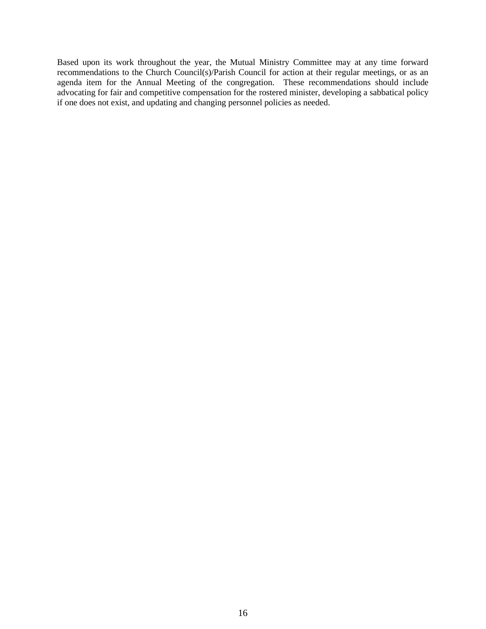Based upon its work throughout the year, the Mutual Ministry Committee may at any time forward recommendations to the Church Council(s)/Parish Council for action at their regular meetings, or as an agenda item for the Annual Meeting of the congregation. These recommendations should include advocating for fair and competitive compensation for the rostered minister, developing a sabbatical policy if one does not exist, and updating and changing personnel policies as needed.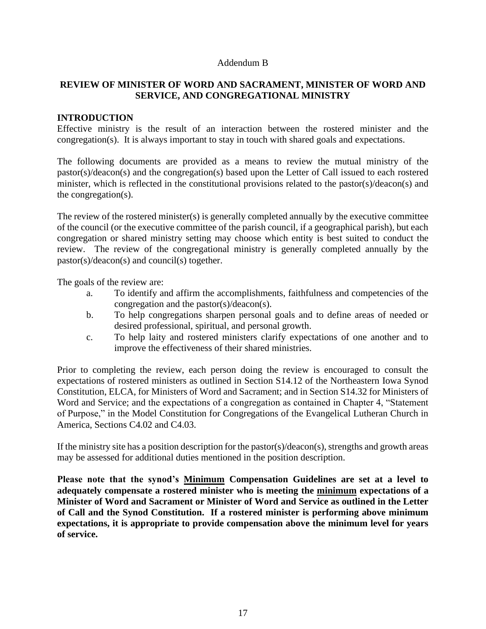#### Addendum B

## **REVIEW OF MINISTER OF WORD AND SACRAMENT, MINISTER OF WORD AND SERVICE, AND CONGREGATIONAL MINISTRY**

#### **INTRODUCTION**

Effective ministry is the result of an interaction between the rostered minister and the congregation(s). It is always important to stay in touch with shared goals and expectations.

The following documents are provided as a means to review the mutual ministry of the pastor(s)/deacon(s) and the congregation(s) based upon the Letter of Call issued to each rostered minister, which is reflected in the constitutional provisions related to the pastor(s)/deacon(s) and the congregation(s).

The review of the rostered minister(s) is generally completed annually by the executive committee of the council (or the executive committee of the parish council, if a geographical parish), but each congregation or shared ministry setting may choose which entity is best suited to conduct the review. The review of the congregational ministry is generally completed annually by the pastor(s)/deacon(s) and council(s) together.

The goals of the review are:

- a. To identify and affirm the accomplishments, faithfulness and competencies of the congregation and the pastor(s)/deacon(s).
- b. To help congregations sharpen personal goals and to define areas of needed or desired professional, spiritual, and personal growth.
- c. To help laity and rostered ministers clarify expectations of one another and to improve the effectiveness of their shared ministries.

Prior to completing the review, each person doing the review is encouraged to consult the expectations of rostered ministers as outlined in Section S14.12 of the Northeastern Iowa Synod Constitution, ELCA, for Ministers of Word and Sacrament; and in Section S14.32 for Ministers of Word and Service; and the expectations of a congregation as contained in Chapter 4, "Statement of Purpose," in the Model Constitution for Congregations of the Evangelical Lutheran Church in America, Sections C4.02 and C4.03.

If the ministry site has a position description for the pastor(s)/deacon(s), strengths and growth areas may be assessed for additional duties mentioned in the position description.

**Please note that the synod's Minimum Compensation Guidelines are set at a level to adequately compensate a rostered minister who is meeting the minimum expectations of a Minister of Word and Sacrament or Minister of Word and Service as outlined in the Letter of Call and the Synod Constitution. If a rostered minister is performing above minimum expectations, it is appropriate to provide compensation above the minimum level for years of service.**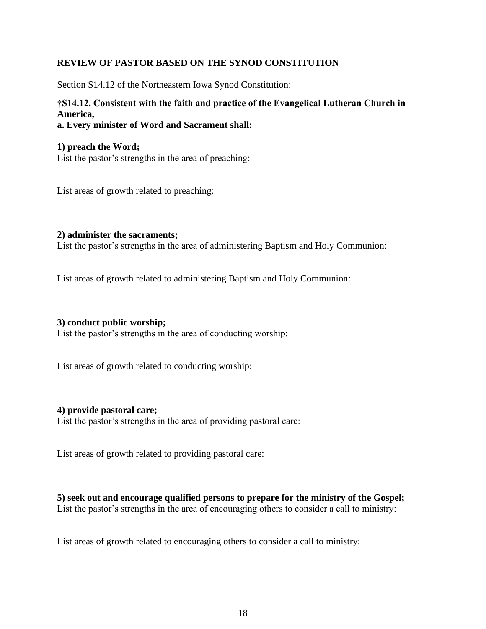## **REVIEW OF PASTOR BASED ON THE SYNOD CONSTITUTION**

Section S14.12 of the Northeastern Iowa Synod Constitution:

# **†S14.12. Consistent with the faith and practice of the Evangelical Lutheran Church in America,**

**a. Every minister of Word and Sacrament shall:**

#### **1) preach the Word;**

List the pastor's strengths in the area of preaching:

List areas of growth related to preaching:

#### **2) administer the sacraments;**

List the pastor's strengths in the area of administering Baptism and Holy Communion:

List areas of growth related to administering Baptism and Holy Communion:

#### **3) conduct public worship;**

List the pastor's strengths in the area of conducting worship:

List areas of growth related to conducting worship:

#### **4) provide pastoral care;**

List the pastor's strengths in the area of providing pastoral care:

List areas of growth related to providing pastoral care:

**5) seek out and encourage qualified persons to prepare for the ministry of the Gospel;** List the pastor's strengths in the area of encouraging others to consider a call to ministry:

List areas of growth related to encouraging others to consider a call to ministry: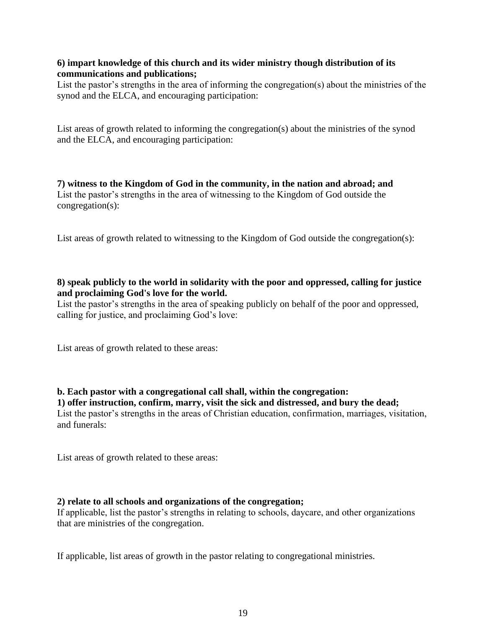#### **6) impart knowledge of this church and its wider ministry though distribution of its communications and publications;**

List the pastor's strengths in the area of informing the congregation(s) about the ministries of the synod and the ELCA, and encouraging participation:

List areas of growth related to informing the congregation(s) about the ministries of the synod and the ELCA, and encouraging participation:

**7) witness to the Kingdom of God in the community, in the nation and abroad; and** List the pastor's strengths in the area of witnessing to the Kingdom of God outside the congregation(s):

List areas of growth related to witnessing to the Kingdom of God outside the congregation(s):

## **8) speak publicly to the world in solidarity with the poor and oppressed, calling for justice and proclaiming God's love for the world.**

List the pastor's strengths in the area of speaking publicly on behalf of the poor and oppressed, calling for justice, and proclaiming God's love:

List areas of growth related to these areas:

## **b. Each pastor with a congregational call shall, within the congregation:**

**1) offer instruction, confirm, marry, visit the sick and distressed, and bury the dead;** List the pastor's strengths in the areas of Christian education, confirmation, marriages, visitation, and funerals:

List areas of growth related to these areas:

#### **2) relate to all schools and organizations of the congregation;**

If applicable, list the pastor's strengths in relating to schools, daycare, and other organizations that are ministries of the congregation.

If applicable, list areas of growth in the pastor relating to congregational ministries.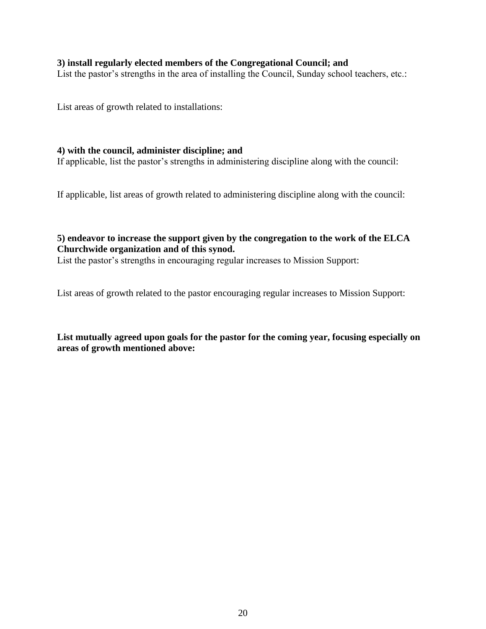#### **3) install regularly elected members of the Congregational Council; and**

List the pastor's strengths in the area of installing the Council, Sunday school teachers, etc.:

List areas of growth related to installations:

#### **4) with the council, administer discipline; and**

If applicable, list the pastor's strengths in administering discipline along with the council:

If applicable, list areas of growth related to administering discipline along with the council:

## **5) endeavor to increase the support given by the congregation to the work of the ELCA Churchwide organization and of this synod.**

List the pastor's strengths in encouraging regular increases to Mission Support:

List areas of growth related to the pastor encouraging regular increases to Mission Support:

**List mutually agreed upon goals for the pastor for the coming year, focusing especially on areas of growth mentioned above:**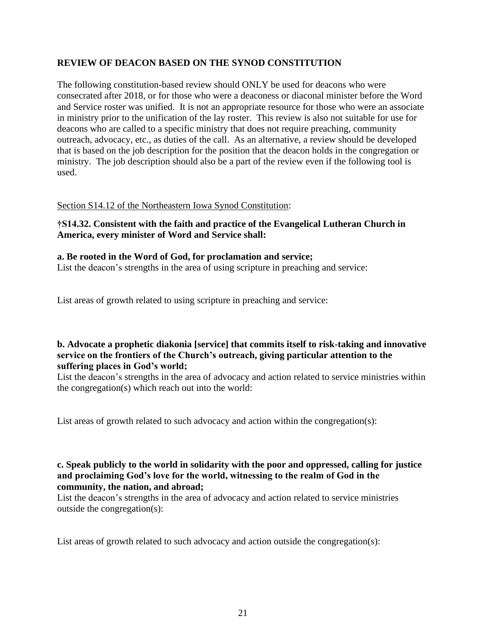## **REVIEW OF DEACON BASED ON THE SYNOD CONSTITUTION**

The following constitution-based review should ONLY be used for deacons who were consecrated after 2018, or for those who were a deaconess or diaconal minister before the Word and Service roster was unified. It is not an appropriate resource for those who were an associate in ministry prior to the unification of the lay roster. This review is also not suitable for use for deacons who are called to a specific ministry that does not require preaching, community outreach, advocacy, etc., as duties of the call. As an alternative, a review should be developed that is based on the job description for the position that the deacon holds in the congregation or ministry. The job description should also be a part of the review even if the following tool is used.

#### Section S14.12 of the Northeastern Iowa Synod Constitution:

### **†S14.32. Consistent with the faith and practice of the Evangelical Lutheran Church in America, every minister of Word and Service shall:**

#### **a. Be rooted in the Word of God, for proclamation and service;**

List the deacon's strengths in the area of using scripture in preaching and service:

List areas of growth related to using scripture in preaching and service:

## **b. Advocate a prophetic diakonia [service] that commits itself to risk-taking and innovative service on the frontiers of the Church's outreach, giving particular attention to the suffering places in God's world;**

List the deacon's strengths in the area of advocacy and action related to service ministries within the congregation(s) which reach out into the world:

List areas of growth related to such advocacy and action within the congregation(s):

#### **c. Speak publicly to the world in solidarity with the poor and oppressed, calling for justice and proclaiming God's love for the world, witnessing to the realm of God in the community, the nation, and abroad;**

List the deacon's strengths in the area of advocacy and action related to service ministries outside the congregation(s):

List areas of growth related to such advocacy and action outside the congregation(s):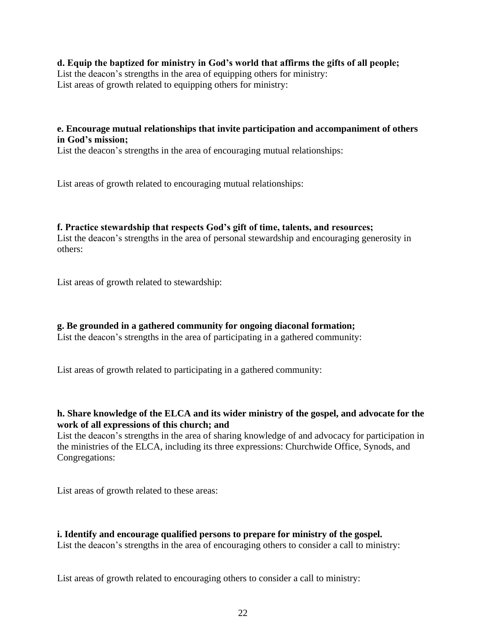### **d. Equip the baptized for ministry in God's world that affirms the gifts of all people;**

List the deacon's strengths in the area of equipping others for ministry: List areas of growth related to equipping others for ministry:

## **e. Encourage mutual relationships that invite participation and accompaniment of others in God's mission;**

List the deacon's strengths in the area of encouraging mutual relationships:

List areas of growth related to encouraging mutual relationships:

#### **f. Practice stewardship that respects God's gift of time, talents, and resources;**

List the deacon's strengths in the area of personal stewardship and encouraging generosity in others:

List areas of growth related to stewardship:

**g. Be grounded in a gathered community for ongoing diaconal formation;** List the deacon's strengths in the area of participating in a gathered community:

List areas of growth related to participating in a gathered community:

#### **h. Share knowledge of the ELCA and its wider ministry of the gospel, and advocate for the work of all expressions of this church; and**

List the deacon's strengths in the area of sharing knowledge of and advocacy for participation in the ministries of the ELCA, including its three expressions: Churchwide Office, Synods, and Congregations:

List areas of growth related to these areas:

# **i. Identify and encourage qualified persons to prepare for ministry of the gospel.**

List the deacon's strengths in the area of encouraging others to consider a call to ministry:

List areas of growth related to encouraging others to consider a call to ministry: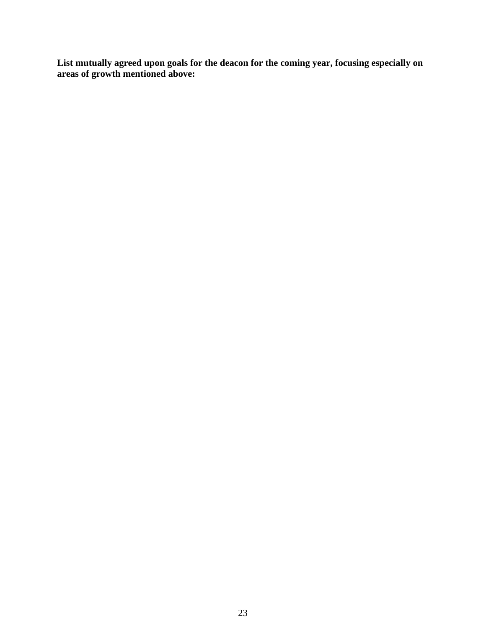**List mutually agreed upon goals for the deacon for the coming year, focusing especially on areas of growth mentioned above:**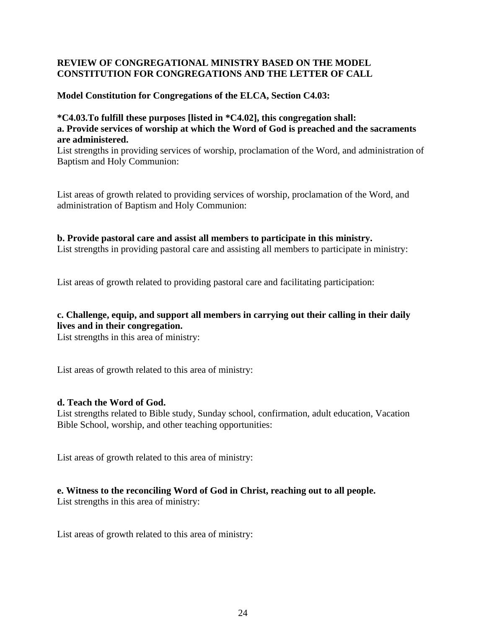## **REVIEW OF CONGREGATIONAL MINISTRY BASED ON THE MODEL CONSTITUTION FOR CONGREGATIONS AND THE LETTER OF CALL**

### **Model Constitution for Congregations of the ELCA, Section C4.03:**

### **\*C4.03.To fulfill these purposes [listed in \*C4.02], this congregation shall: a. Provide services of worship at which the Word of God is preached and the sacraments are administered.**

List strengths in providing services of worship, proclamation of the Word, and administration of Baptism and Holy Communion:

List areas of growth related to providing services of worship, proclamation of the Word, and administration of Baptism and Holy Communion:

#### **b. Provide pastoral care and assist all members to participate in this ministry.**

List strengths in providing pastoral care and assisting all members to participate in ministry:

List areas of growth related to providing pastoral care and facilitating participation:

# **c. Challenge, equip, and support all members in carrying out their calling in their daily lives and in their congregation.**

List strengths in this area of ministry:

List areas of growth related to this area of ministry:

#### **d. Teach the Word of God.**

List strengths related to Bible study, Sunday school, confirmation, adult education, Vacation Bible School, worship, and other teaching opportunities:

List areas of growth related to this area of ministry:

## **e. Witness to the reconciling Word of God in Christ, reaching out to all people.**

List strengths in this area of ministry:

List areas of growth related to this area of ministry: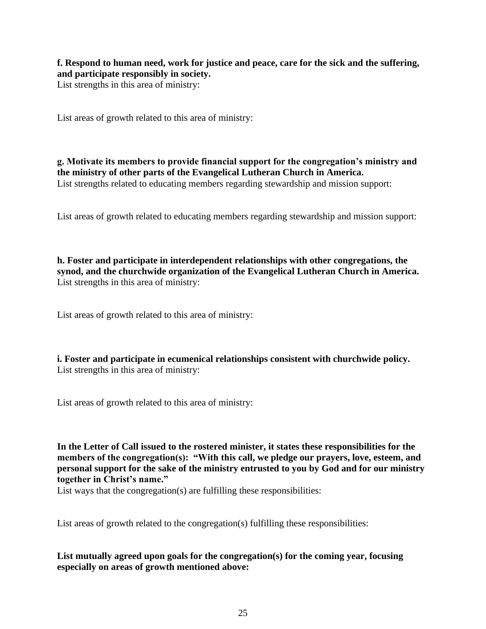**f. Respond to human need, work for justice and peace, care for the sick and the suffering, and participate responsibly in society.**

List strengths in this area of ministry:

List areas of growth related to this area of ministry:

**g. Motivate its members to provide financial support for the congregation's ministry and the ministry of other parts of the Evangelical Lutheran Church in America.** List strengths related to educating members regarding stewardship and mission support:

List areas of growth related to educating members regarding stewardship and mission support:

**h. Foster and participate in interdependent relationships with other congregations, the synod, and the churchwide organization of the Evangelical Lutheran Church in America.** List strengths in this area of ministry:

List areas of growth related to this area of ministry:

**i. Foster and participate in ecumenical relationships consistent with churchwide policy.** List strengths in this area of ministry:

List areas of growth related to this area of ministry:

**In the Letter of Call issued to the rostered minister, it states these responsibilities for the members of the congregation(s): "With this call, we pledge our prayers, love, esteem, and personal support for the sake of the ministry entrusted to you by God and for our ministry together in Christ's name."**

List ways that the congregation(s) are fulfilling these responsibilities:

List areas of growth related to the congregation(s) fulfilling these responsibilities:

**List mutually agreed upon goals for the congregation(s) for the coming year, focusing especially on areas of growth mentioned above:**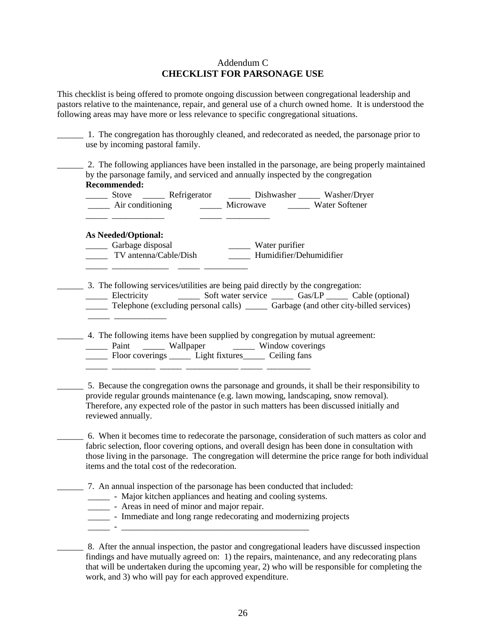#### Addendum C **CHECKLIST FOR PARSONAGE USE**

This checklist is being offered to promote ongoing discussion between congregational leadership and pastors relative to the maintenance, repair, and general use of a church owned home. It is understood the following areas may have more or less relevance to specific congregational situations.

| <b>Recommended:</b>                                         |                                               | by the parsonage family, and serviced and annually inspected by the congregation<br>$\frac{1}{\sqrt{1-\frac{1}{2}}}\$ Stove $\frac{1}{\sqrt{1-\frac{1}{2}}}\$ Refrigerator Dishwasher Washer/Dryer                                                                                   |  | 2. The following appliances have been installed in the parsonage, are being properly maintained                                                                                                       |
|-------------------------------------------------------------|-----------------------------------------------|--------------------------------------------------------------------------------------------------------------------------------------------------------------------------------------------------------------------------------------------------------------------------------------|--|-------------------------------------------------------------------------------------------------------------------------------------------------------------------------------------------------------|
| <b>As Needed/Optional:</b><br>Carbage disposal              |                                               | Garbage disposal<br>TV antenna/Cable/Dish<br>TV antenna/Cable/Dish<br>TV antenna/Cable/Dish<br>TV antenna/Cable/Dish<br>TV antenna/Cable/Dish<br>TV antenna/Cable/Dish<br>TV antenna/Cable/Dish<br>TV antenna/Cable/Dish<br>TV antenna/Cable/Dis                                     |  |                                                                                                                                                                                                       |
|                                                             |                                               | 3. The following services/utilities are being paid directly by the congregation:<br>Telephone (excluding personal calls) _______ Garbage (and other city-billed services)                                                                                                            |  |                                                                                                                                                                                                       |
|                                                             |                                               | 4. The following items have been supplied by congregation by mutual agreement:<br>Paint Wallpaper Window coverings<br>Floor coverings Light fixtures Ceiling fans                                                                                                                    |  |                                                                                                                                                                                                       |
| reviewed annually.                                          |                                               | 5. Because the congregation owns the parsonage and grounds, it shall be their responsibility to<br>provide regular grounds maintenance (e.g. lawn mowing, landscaping, snow removal).<br>Therefore, any expected role of the pastor in such matters has been discussed initially and |  |                                                                                                                                                                                                       |
|                                                             | items and the total cost of the redecoration. | fabric selection, floor covering options, and overall design has been done in consultation with                                                                                                                                                                                      |  | 6. When it becomes time to redecorate the parsonage, consideration of such matters as color and<br>those living in the parsonage. The congregation will determine the price range for both individual |
| - Major kitchen appliances and heating and cooling systems. |                                               | 7. An annual inspection of the parsonage has been conducted that included:                                                                                                                                                                                                           |  |                                                                                                                                                                                                       |

\_\_\_\_\_\_ 8. After the annual inspection, the pastor and congregational leaders have discussed inspection findings and have mutually agreed on: 1) the repairs, maintenance, and any redecorating plans that will be undertaken during the upcoming year, 2) who will be responsible for completing the work, and 3) who will pay for each approved expenditure.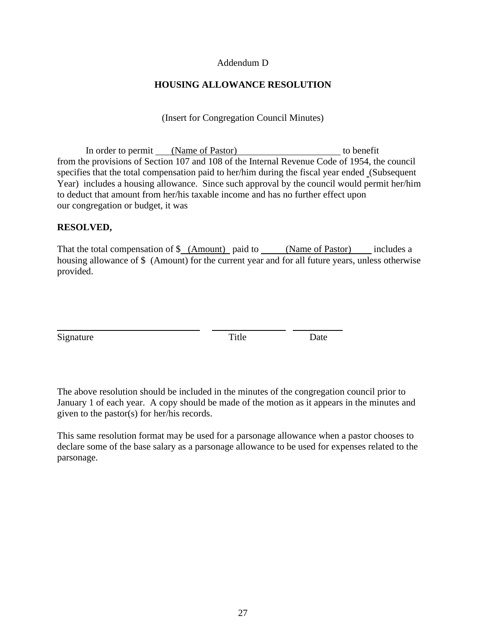#### Addendum D

## **HOUSING ALLOWANCE RESOLUTION**

(Insert for Congregation Council Minutes)

In order to permit (Name of Pastor) to benefit from the provisions of Section 107 and 108 of the Internal Revenue Code of 1954, the council specifies that the total compensation paid to her/him during the fiscal year ended (Subsequent Year) includes a housing allowance. Since such approval by the council would permit her/him to deduct that amount from her/his taxable income and has no further effect upon our congregation or budget, it was

### **RESOLVED,**

That the total compensation of \$ (Amount) paid to (Name of Pastor) includes a housing allowance of \$ (Amount) for the current year and for all future years, unless otherwise provided.

Signature Date Date

i<br>L

The above resolution should be included in the minutes of the congregation council prior to January 1 of each year. A copy should be made of the motion as it appears in the minutes and given to the pastor(s) for her/his records.

This same resolution format may be used for a parsonage allowance when a pastor chooses to declare some of the base salary as a parsonage allowance to be used for expenses related to the parsonage.